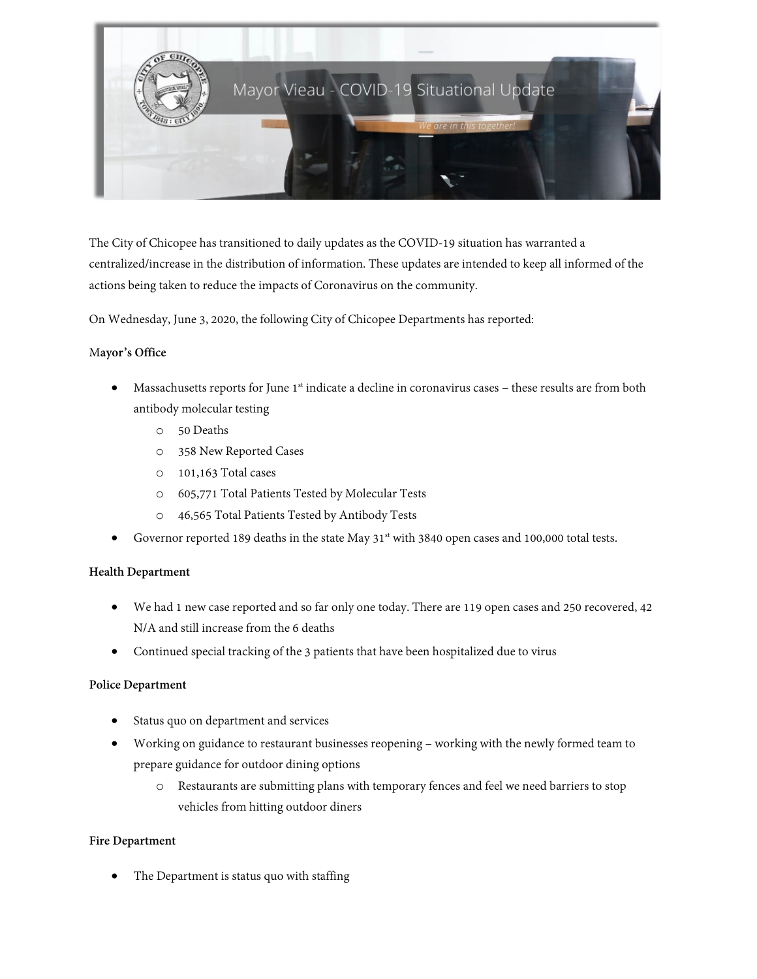

The City of Chicopee has transitioned to daily updates as the COVID-19 situation has warranted a centralized/increase in the distribution of information. These updates are intended to keep all informed of the actions being taken to reduce the impacts of Coronavirus on the community.

On Wednesday, June 3, 2020, the following City of Chicopee Departments has reported:

# M**ayor's Office**

- Massachusetts reports for June 1<sup>st</sup> indicate a decline in coronavirus cases these results are from both antibody molecular testing
	- o 50 Deaths
	- o 358 New Reported Cases
	- o 101,163 Total cases
	- o 605,771 Total Patients Tested by Molecular Tests
	- o 46,565 Total Patients Tested by Antibody Tests
- Governor reported 189 deaths in the state May  $31<sup>st</sup>$  with 3840 open cases and 100,000 total tests.

## **Health Department**

- We had 1 new case reported and so far only one today. There are 119 open cases and 250 recovered, 42 N/A and still increase from the 6 deaths
- Continued special tracking of the 3 patients that have been hospitalized due to virus

## **Police Department**

- Status quo on department and services
- Working on guidance to restaurant businesses reopening working with the newly formed team to prepare guidance for outdoor dining options
	- o Restaurants are submitting plans with temporary fences and feel we need barriers to stop vehicles from hitting outdoor diners

## **Fire Department**

The Department is status quo with staffing